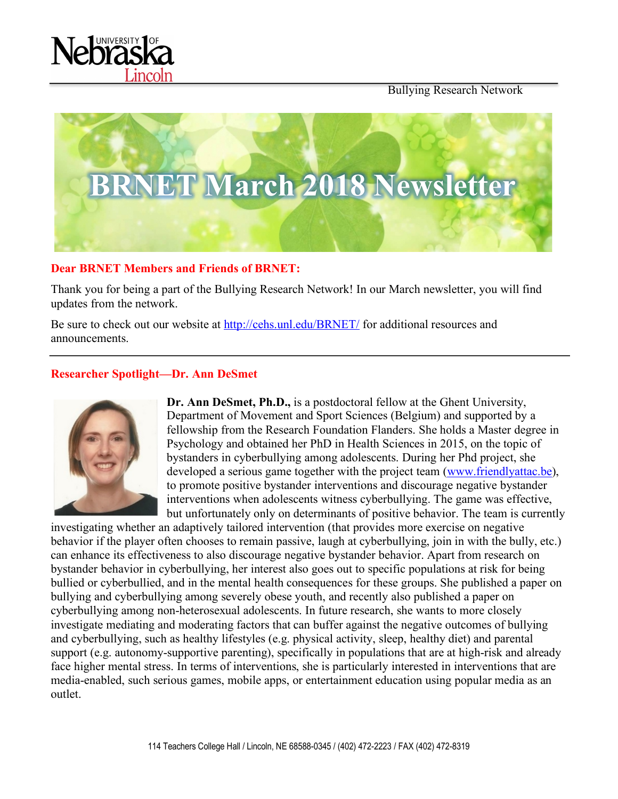



#### **Dear BRNET Members and Friends of BRNET:**

Thank you for being a part of the Bullying Research Network! In our March newsletter, you will find updates from the network.

Be sure to check out our website at http://cehs.unl.edu/BRNET/ for additional resources and announcements.

#### **Researcher Spotlight—Dr. Ann DeSmet**



**Dr. Ann DeSmet, Ph.D.,** is a postdoctoral fellow at the Ghent University, Department of Movement and Sport Sciences (Belgium) and supported by a fellowship from the Research Foundation Flanders. She holds a Master degree in Psychology and obtained her PhD in Health Sciences in 2015, on the topic of bystanders in cyberbullying among adolescents. During her Phd project, she developed a serious game together with the project team (www.friendlyattac.be), to promote positive bystander interventions and discourage negative bystander interventions when adolescents witness cyberbullying. The game was effective, but unfortunately only on determinants of positive behavior. The team is currently

investigating whether an adaptively tailored intervention (that provides more exercise on negative behavior if the player often chooses to remain passive, laugh at cyberbullying, join in with the bully, etc.) can enhance its effectiveness to also discourage negative bystander behavior. Apart from research on bystander behavior in cyberbullying, her interest also goes out to specific populations at risk for being bullied or cyberbullied, and in the mental health consequences for these groups. She published a paper on bullying and cyberbullying among severely obese youth, and recently also published a paper on cyberbullying among non-heterosexual adolescents. In future research, she wants to more closely investigate mediating and moderating factors that can buffer against the negative outcomes of bullying and cyberbullying, such as healthy lifestyles (e.g. physical activity, sleep, healthy diet) and parental support (e.g. autonomy-supportive parenting), specifically in populations that are at high-risk and already face higher mental stress. In terms of interventions, she is particularly interested in interventions that are media-enabled, such serious games, mobile apps, or entertainment education using popular media as an outlet.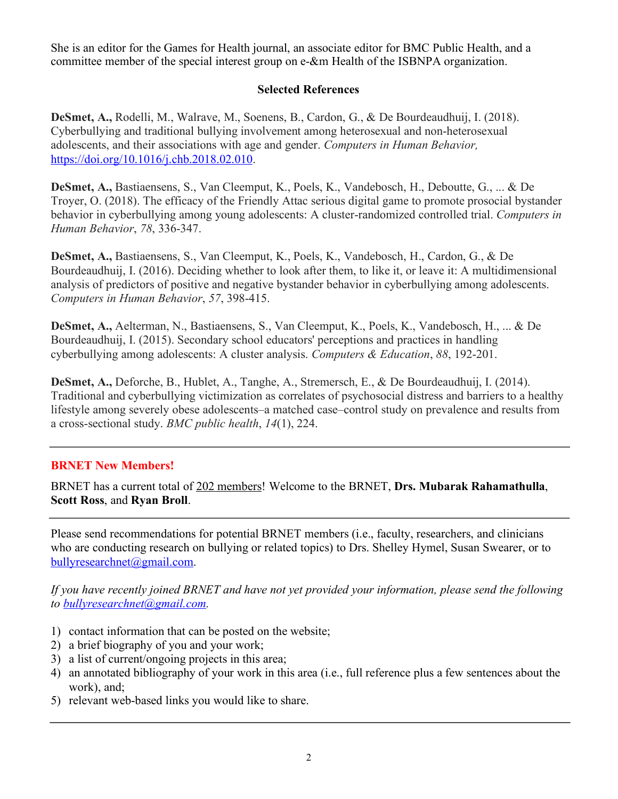She is an editor for the Games for Health journal, an associate editor for BMC Public Health, and a committee member of the special interest group on e-&m Health of the ISBNPA organization.

## **Selected References**

**DeSmet, A.,** Rodelli, M., Walrave, M., Soenens, B., Cardon, G., & De Bourdeaudhuij, I. (2018). Cyberbullying and traditional bullying involvement among heterosexual and non-heterosexual adolescents, and their associations with age and gender. *Computers in Human Behavior,*  https://doi.org/10.1016/j.chb.2018.02.010.

**DeSmet, A.,** Bastiaensens, S., Van Cleemput, K., Poels, K., Vandebosch, H., Deboutte, G., ... & De Troyer, O. (2018). The efficacy of the Friendly Attac serious digital game to promote prosocial bystander behavior in cyberbullying among young adolescents: A cluster-randomized controlled trial. *Computers in Human Behavior*, *78*, 336-347.

**DeSmet, A.,** Bastiaensens, S., Van Cleemput, K., Poels, K., Vandebosch, H., Cardon, G., & De Bourdeaudhuij, I. (2016). Deciding whether to look after them, to like it, or leave it: A multidimensional analysis of predictors of positive and negative bystander behavior in cyberbullying among adolescents. *Computers in Human Behavior*, *57*, 398-415.

**DeSmet, A.,** Aelterman, N., Bastiaensens, S., Van Cleemput, K., Poels, K., Vandebosch, H., ... & De Bourdeaudhuij, I. (2015). Secondary school educators' perceptions and practices in handling cyberbullying among adolescents: A cluster analysis. *Computers & Education*, *88*, 192-201.

**DeSmet, A.,** Deforche, B., Hublet, A., Tanghe, A., Stremersch, E., & De Bourdeaudhuij, I. (2014). Traditional and cyberbullying victimization as correlates of psychosocial distress and barriers to a healthy lifestyle among severely obese adolescents–a matched case–control study on prevalence and results from a cross-sectional study. *BMC public health*, *14*(1), 224.

# **BRNET New Members!**

BRNET has a current total of 202 members! Welcome to the BRNET, **Drs. Mubarak Rahamathulla**, **Scott Ross**, and **Ryan Broll**.

Please send recommendations for potential BRNET members (i.e., faculty, researchers, and clinicians who are conducting research on bullying or related topics) to Drs. Shelley Hymel, Susan Swearer, or to bullyresearchnet@gmail.com.

*If you have recently joined BRNET and have not yet provided your information, please send the following to bullyresearchnet@gmail.com.*

- 1) contact information that can be posted on the website;
- 2) a brief biography of you and your work;
- 3) a list of current/ongoing projects in this area;
- 4) an annotated bibliography of your work in this area (i.e., full reference plus a few sentences about the work), and;
- 5) relevant web-based links you would like to share.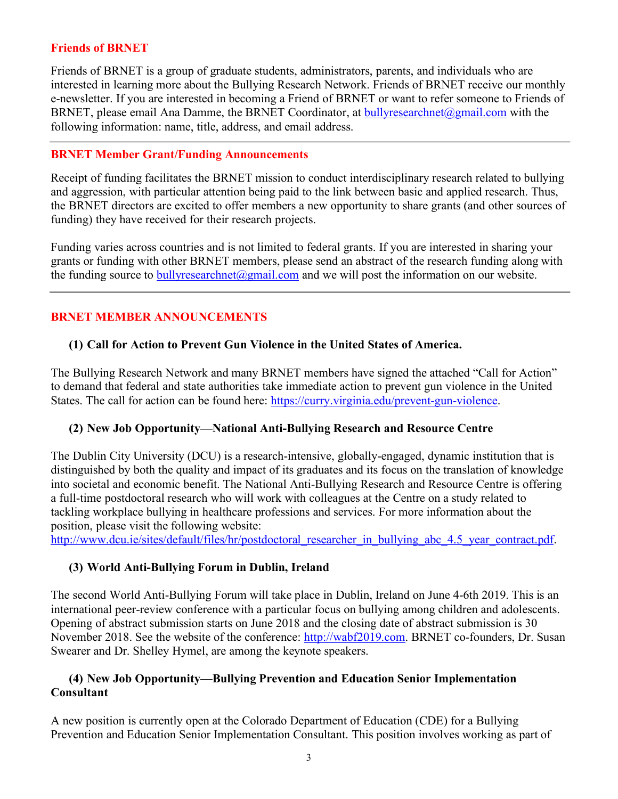#### **Friends of BRNET**

Friends of BRNET is a group of graduate students, administrators, parents, and individuals who are interested in learning more about the Bullying Research Network. Friends of BRNET receive our monthly e-newsletter. If you are interested in becoming a Friend of BRNET or want to refer someone to Friends of BRNET, please email Ana Damme, the BRNET Coordinator, at **bullyresearchnet** $@g$ gmail.com with the following information: name, title, address, and email address.

#### **BRNET Member Grant/Funding Announcements**

Receipt of funding facilitates the BRNET mission to conduct interdisciplinary research related to bullying and aggression, with particular attention being paid to the link between basic and applied research. Thus, the BRNET directors are excited to offer members a new opportunity to share grants (and other sources of funding) they have received for their research projects.

Funding varies across countries and is not limited to federal grants. If you are interested in sharing your grants or funding with other BRNET members, please send an abstract of the research funding along with the funding source to **bullyresearchnet** $\omega$ gmail.com and we will post the information on our website.

## **BRNET MEMBER ANNOUNCEMENTS**

### **(1) Call for Action to Prevent Gun Violence in the United States of America.**

The Bullying Research Network and many BRNET members have signed the attached "Call for Action" to demand that federal and state authorities take immediate action to prevent gun violence in the United States. The call for action can be found here: https://curry.virginia.edu/prevent-gun-violence.

### **(2) New Job Opportunity—National Anti-Bullying Research and Resource Centre**

The Dublin City University (DCU) is a research-intensive, globally-engaged, dynamic institution that is distinguished by both the quality and impact of its graduates and its focus on the translation of knowledge into societal and economic benefit. The National Anti-Bullying Research and Resource Centre is offering a full-time postdoctoral research who will work with colleagues at the Centre on a study related to tackling workplace bullying in healthcare professions and services. For more information about the position, please visit the following website:

http://www.dcu.ie/sites/default/files/hr/postdoctoral\_researcher\_in\_bullying\_abc\_4.5\_year\_contract.pdf.

### **(3) World Anti-Bullying Forum in Dublin, Ireland**

The second World Anti-Bullying Forum will take place in Dublin, Ireland on June 4-6th 2019. This is an international peer-review conference with a particular focus on bullying among children and adolescents. Opening of abstract submission starts on June 2018 and the closing date of abstract submission is 30 November 2018. See the website of the conference: http://wabf2019.com. BRNET co-founders, Dr. Susan Swearer and Dr. Shelley Hymel, are among the keynote speakers.

## **(4) New Job Opportunity—Bullying Prevention and Education Senior Implementation Consultant**

A new position is currently open at the Colorado Department of Education (CDE) for a Bullying Prevention and Education Senior Implementation Consultant. This position involves working as part of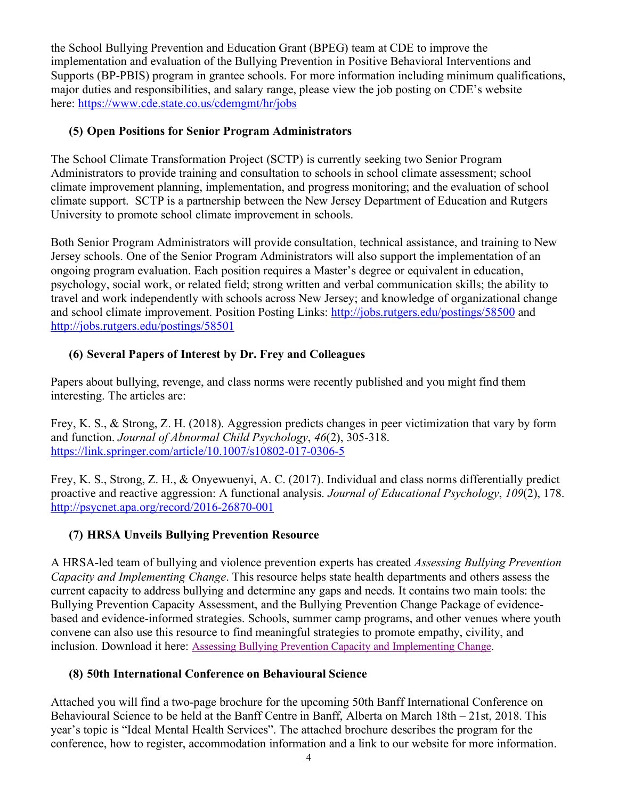the School Bullying Prevention and Education Grant (BPEG) team at CDE to improve the implementation and evaluation of the Bullying Prevention in Positive Behavioral Interventions and Supports (BP-PBIS) program in grantee schools. For more information including minimum qualifications, major duties and responsibilities, and salary range, please view the job posting on CDE's website here: https://www.cde.state.co.us/cdemgmt/hr/jobs

## **(5) Open Positions for Senior Program Administrators**

The School Climate Transformation Project (SCTP) is currently seeking two Senior Program Administrators to provide training and consultation to schools in school climate assessment; school climate improvement planning, implementation, and progress monitoring; and the evaluation of school climate support. SCTP is a partnership between the New Jersey Department of Education and Rutgers University to promote school climate improvement in schools.

Both Senior Program Administrators will provide consultation, technical assistance, and training to New Jersey schools. One of the Senior Program Administrators will also support the implementation of an ongoing program evaluation. Each position requires a Master's degree or equivalent in education, psychology, social work, or related field; strong written and verbal communication skills; the ability to travel and work independently with schools across New Jersey; and knowledge of organizational change and school climate improvement. Position Posting Links: http://jobs.rutgers.edu/postings/58500 and http://jobs.rutgers.edu/postings/58501

# **(6) Several Papers of Interest by Dr. Frey and Colleagues**

Papers about bullying, revenge, and class norms were recently published and you might find them interesting. The articles are:

Frey, K. S., & Strong, Z. H. (2018). Aggression predicts changes in peer victimization that vary by form and function. *Journal of Abnormal Child Psychology*, *46*(2), 305-318. https://link.springer.com/article/10.1007/s10802-017-0306-5

Frey, K. S., Strong, Z. H., & Onyewuenyi, A. C. (2017). Individual and class norms differentially predict proactive and reactive aggression: A functional analysis. *Journal of Educational Psychology*, *109*(2), 178. http://psycnet.apa.org/record/2016-26870-001

# **(7) HRSA Unveils Bullying Prevention Resource**

A HRSA-led team of bullying and violence prevention experts has created *Assessing Bullying Prevention Capacity and Implementing Change*. This resource helps state health departments and others assess the current capacity to address bullying and determine any gaps and needs. It contains two main tools: the Bullying Prevention Capacity Assessment, and the Bullying Prevention Change Package of evidencebased and evidence-informed strategies. Schools, summer camp programs, and other venues where youth convene can also use this resource to find meaningful strategies to promote empathy, civility, and inclusion. Download it here: Assessing Bullying Prevention Capacity and Implementing Change.

### **(8) 50th International Conference on Behavioural Science**

Attached you will find a two-page brochure for the upcoming 50th Banff International Conference on Behavioural Science to be held at the Banff Centre in Banff, Alberta on March 18th – 21st, 2018. This year's topic is "Ideal Mental Health Services". The attached brochure describes the program for the conference, how to register, accommodation information and a link to our website for more information.